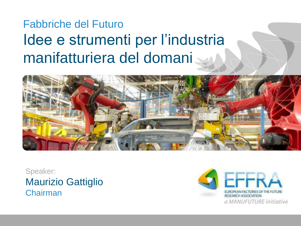## Fabbriche del Futuro Idee e strumenti per l'industria manifatturiera del domani



Speaker: Maurizio Gattiglio Chairman

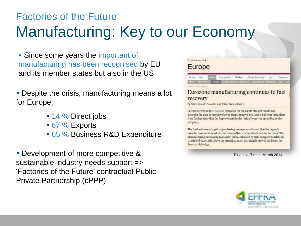### Factories of the Future Manufacturing: Key to our Economy

- Since some years the important of manufacturing has been recognised by EU and its member states but also in the US
- **Despite the crisis, manufacturing means a lot** for Europe:
	- 14 % Direct jobs
	- 67 % Exports
	- 65 % Business R&D Expenditure
- **Development of more competitive &** sustainable industry needs support => 'Factories of the Future' contractual Public-Private Partnership (cPPP)



The final estimate of a poll of purchasing managers confirmed that the region's manufacturers continued to contribute to the currency bloc's nascent recovery. The manufacturing purchasing managers' index, compiled by data company Markit, hit 53.2 in February, still above the crucial 50 mark that signals growth but below the January high of 54.

Financial Times, March 2014

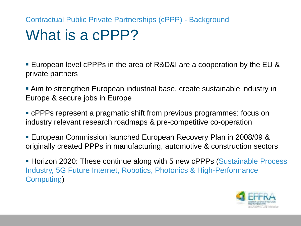### What is a cPPP? Contractual Public Private Partnerships (cPPP) - Background

 European level cPPPs in the area of R&D&I are a cooperation by the EU & private partners

 Aim to strengthen European industrial base, create sustainable industry in Europe & secure jobs in Europe

 cPPPs represent a pragmatic shift from previous programmes: focus on industry relevant research roadmaps & pre-competitive co-operation

 European Commission launched European Recovery Plan in 2008/09 & originally created PPPs in manufacturing, automotive & construction sectors

 Horizon 2020: These continue along with 5 new cPPPs (Sustainable Process Industry, 5G Future Internet, Robotics, Photonics & High-Performance Computing)

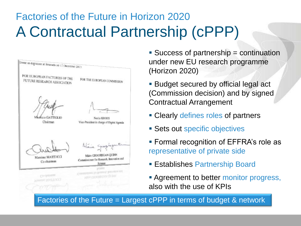### Factories of the Future in Horizon 2020 A Contractual Partnership (cPPP)



Success of partnership  $=$  continuation under new EU research programme (Horizon 2020)

- **Budget secured by official legal act** (Commission decision) and by signed Contractual Arrangement
- Clearly defines roles of partners
- **Sets out specific objectives**
- **Formal recognition of EFFRA's role as** representative of private side
- **Establishes Partnership Board**
- **Agreement to better monitor progress,** also with the use of KPIs

Factories of the Future = Largest cPPP in terms of budget & network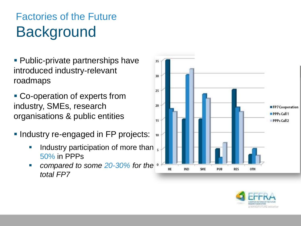## Factories of the Future **Background**

- **Public-private partnerships have** introduced industry-relevant roadmaps
- Co-operation of experts from industry, SMEs, research organisations & public entities
- **Industry re-engaged in FP projects:** 
	- Industry participation of more than  $\frac{1}{5}$ 50% in PPPs
	- *compared to some 20-30% for the total FP7*



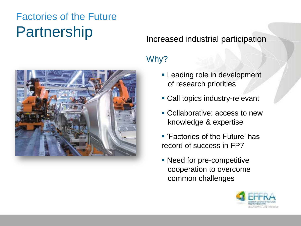## Factories of the Future Partnership Increased industrial participation



### Why?

- **Leading role in development** of research priorities
- Call topics industry-relevant
- Collaborative: access to new knowledge & expertise
- 'Factories of the Future' has record of success in FP7
- Need for pre-competitive cooperation to overcome common challenges

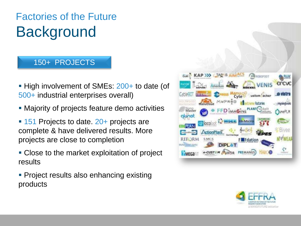## Factories of the Future **Background**

### 150+ PROJECTS

- High involvement of SMEs: 200+ to date (of 500+ industrial enterprises overall)
- **Majority of projects feature demo activities**
- 151 Projects to date. 20+ projects are complete & have delivered results. More projects are close to completion
- Close to the market exploitation of project results
- **Project results also enhancing existing** products



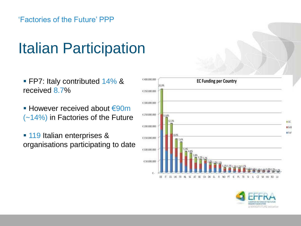### 'Factories of the Future' PPP

# Italian Participation

- **FP7: Italy contributed 14% &** received 8.7%
- $\blacksquare$  However received about  $\epsilon$ 90m (~14%) in Factories of the Future
- **119 Italian enterprises &** organisations participating to date



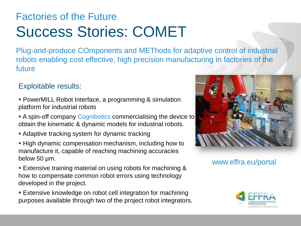## Factories of the Future Success Stories: COMET

Plug-and-produce COmponents and METhods for adaptive control of industrial robots enabling cost effective, high precision manufacturing in factories of the future

### Exploitable results:

- PowerMILL Robot Interface, a programming & simulation platform for industrial robots
- A spin-off company Cognibotics commercialising the device to obtain the kinematic & dynamic models for industrial robots.
- **Adaptive tracking system for dynamic tracking**
- **High dynamic compensation mechanism, including how to** manufacture it, capable of reaching machining accuracies below 50 µm.
- **Extensive training material on using robots for machining &** how to compensate common robot errors using technology developed in the project.
- **Extensive knowledge on robot cell integration for machining** purposes available through two of the project robot integrators.



### www.effra.eu/portal

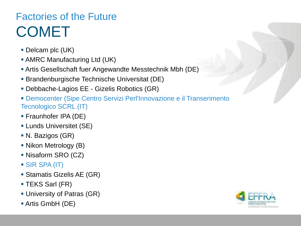## Factories of the Future COMET

- Delcam plc (UK)
- **AMRC Manufacturing Ltd (UK)**
- Artis Gesellschaft fuer Angewandte Messtechnik Mbh (DE)
- Brandenburgische Technische Universitat (DE)
- Debbache-Lagios EE Gizelis Robotics (GR)
- Democenter (Sipe Centro Servizi Perl'Innovazione e il Transerimento Tecnologico SCRL (IT)
- Fraunhofer IPA (DE)
- **Lunds Universitet (SE)**
- N. Bazigos (GR)
- Nikon Metrology (B)
- Nisaform SRO (CZ)
- SIR SPA (IT)
- Stamatis Gizelis AE (GR)
- TEKS Sarl (FR)
- **University of Patras (GR)**
- Artis GmbH (DE)

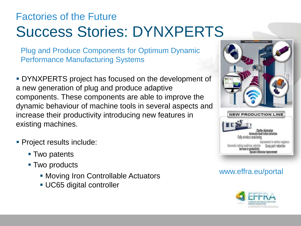## Factories of the Future Success Stories: DYNXPERTS

Plug and Produce Components for Optimum Dynamic Performance Manufacturing Systems

 DYNXPERTS project has focused on the development of a new generation of plug and produce adaptive components. These components are able to improve the dynamic behaviour of machine tools in several aspects and increase their productivity introducing new features in existing machines.

- **Project results include:** 
	- Two patents
	- **Two products** 
		- **Moving Iron Controllable Actuators**
		- UC65 digital controller



### www.effra.eu/portal

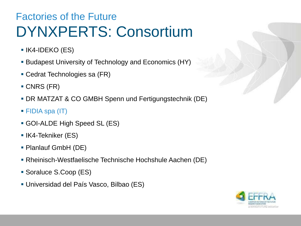## Factories of the Future DYNXPERTS: Consortium

- $\blacksquare$  IK4-IDEKO (ES)
- Budapest University of Technology and Economics (HY)
- Cedrat Technologies sa (FR)
- CNRS (FR)
- DR MATZAT & CO GMBH Spenn und Fertigungstechnik (DE)
- FIDIA spa (IT)
- GOI-ALDE High Speed SL (ES)
- **IK4-Tekniker (ES)**
- Planlauf GmbH (DE)
- Rheinisch-Westfaelische Technische Hochshule Aachen (DE)
- Soraluce S.Coop (ES)
- Universidad del País Vasco, Bilbao (ES)

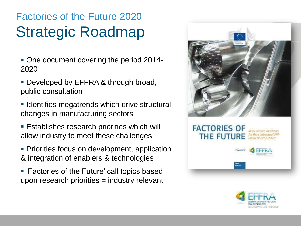### Factories of the Future 2020 Strategic Roadmap

- One document covering the period 2014-2020
- Developed by EFFRA & through broad, public consultation
- **If Identifies megatrends which drive structural** changes in manufacturing sectors
- **Establishes research priorities which will** allow industry to meet these challenges
- **Priorities focus on development, application** & integration of enablers & technologies
- 'Factories of the Future' call topics based upon research priorities = industry relevant





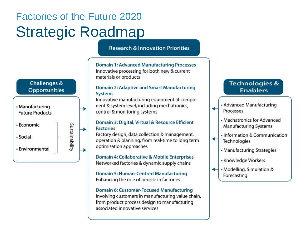### Factories of the Future 2020 Strategic Roadmap

#### **Challenges & Opportunities**



**Research & Innovation Priorities** 

**Domain 1: Advanced Manufacturing Processes** Innovative processing for both new & current materials or products

#### **Domain 2: Adaptive and Smart Manufacturing Systems**

Innovative manufacturing equipment at component & system level, including mechatronics, control & monitoring systems

#### Domain 3: Digital, Virtual & Resource Efficient **Factories**

Factory design, data collection & management, operation & planning, from real-time to long term optimisation approaches

Domain 4: Collaborative & Mobile Enterprises Networked factories & dynamic supply chains

Domain 5: Human-Centred Manufacturing Enhancing the role of people in factories

Domain 6: Customer-Focused Manufacturing Involving customers in manufacturing value chain, from product process design to manufacturing associated innovative services

#### Technologies & **Enablers**

- Advanced Manufacturing Processes
- Mechatronics for Advanced **Manufacturing Systems**
- Information & Communication Technologies
- Manufacturing Strategies
- Knowledge Workers

↞

• Modelling, Simulation & Forecasting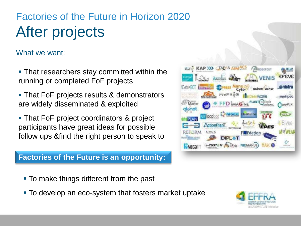## Factories of the Future in Horizon 2020 After projects

What we want:

- That researchers stay committed within the running or completed FoF projects
- That FoF projects results & demonstrators are widely disseminated & exploited
- **That FoF project coordinators & project** participants have great ideas for possible follow ups &find the right person to speak to

### **Factories of the Future is an opportunity:**

- **To make things different from the past**
- To develop an eco-system that fosters market uptake



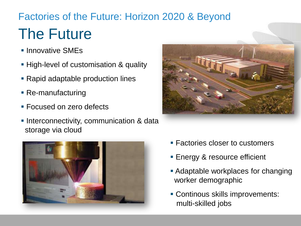## The Future Factories of the Future: Horizon 2020 & Beyond

- **Innovative SMEs**
- **High-level of customisation & quality**
- Rapid adaptable production lines
- Re-manufacturing
- **Focused on zero defects**
- **Interconnectivity, communication & data** storage via cloud





- **Factories closer to customers**
- **Energy & resource efficient**
- Adaptable workplaces for changing worker demographic
- Continous skills improvements: multi-skilled jobs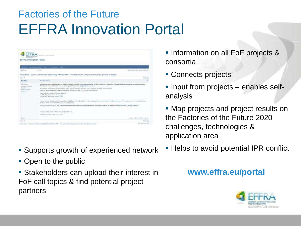## Factories of the Future EFFRA Innovation Portal



- Supports growth of experienced network
- Open to the public
- Stakeholders can upload their interest in FoF call topics & find potential project partners
- **Information on all FoF projects &** consortia
- Connects projects
- **Input from projects enables self**analysis
- Map projects and project results on the Factories of the Future 2020 challenges, technologies & application area
- **Helps to avoid potential IPR conflict**

### **www.effra.eu/portal**

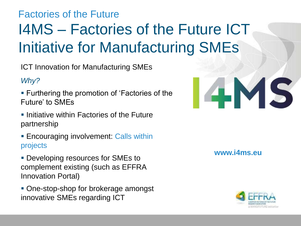## Factories of the Future I4MS – Factories of the Future ICT Initiative for Manufacturing SMEs

ICT Innovation for Manufacturing SMEs

### *Why?*

- Furthering the promotion of 'Factories of the Future' to SMEs
- $\blacksquare$  Initiative within Factories of the Future partnership
- **Encouraging involvement: Calls within** projects
- Developing resources for SMEs to complement existing (such as EFFRA Innovation Portal)
- **One-stop-shop for brokerage amongst** innovative SMEs regarding ICT



**www.i4ms.eu**

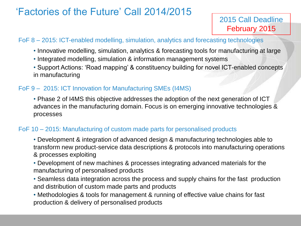### 'Factories of the Future' Call 2014/2015

2015 Call Deadline February 2015

#### FoF 8 – 2015: ICT-enabled modelling, simulation, analytics and forecasting technologies

- Innovative modelling, simulation, analytics & forecasting tools for manufacturing at large
- Integrated modelling, simulation & information management systems
- Support Actions: 'Road mapping' & constituency building for novel ICT-enabled concepts in manufacturing

#### FoF 9 – 2015: ICT Innovation for Manufacturing SMEs (I4MS)

• Phase 2 of I4MS this objective addresses the adoption of the next generation of ICT advances in the manufacturing domain. Focus is on emerging innovative technologies & processes

#### FoF 10 – 2015: Manufacturing of custom made parts for personalised products

- Development & integration of advanced design & manufacturing technologies able to transform new product-service data descriptions & protocols into manufacturing operations & processes exploiting
- Development of new machines & processes integrating advanced materials for the manufacturing of personalised products
- Seamless data integration across the process and supply chains for the fast production and distribution of custom made parts and products
- Methodologies & tools for management & running of effective value chains for fast production & delivery of personalised products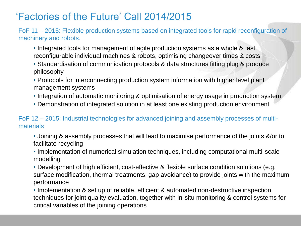### 'Factories of the Future' Call 2014/2015

FoF 11 – 2015: Flexible production systems based on integrated tools for rapid reconfiguration of machinery and robots.

- Integrated tools for management of agile production systems as a whole & fast reconfigurable individual machines & robots, optimising changeover times & costs
- Standardisation of communication protocols & data structures fitting plug & produce philosophy
- Protocols for interconnecting production system information with higher level plant management systems
- Integration of automatic monitoring & optimisation of energy usage in production system
- Demonstration of integrated solution in at least one existing production environment

FoF 12 – 2015: Industrial technologies for advanced joining and assembly processes of multimaterials

- Joining & assembly processes that will lead to maximise performance of the joints &/or to facilitate recycling
- Implementation of numerical simulation techniques, including computational multi-scale modelling
- Development of high efficient, cost-effective & flexible surface condition solutions (e.g. surface modification, thermal treatments, gap avoidance) to provide joints with the maximum performance

• Implementation & set up of reliable, efficient & automated non-destructive inspection techniques for joint quality evaluation, together with in-situ monitoring & control systems for critical variables of the joining operations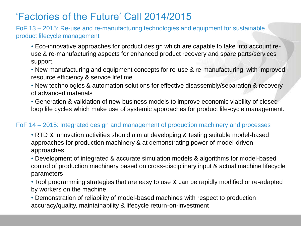### 'Factories of the Future' Call 2014/2015

FoF 13 – 2015: Re-use and re-manufacturing technologies and equipment for sustainable product lifecycle management

- Eco-innovative approaches for product design which are capable to take into account reuse & re-manufacturing aspects for enhanced product recovery and spare parts/services support.
- New manufacturing and equipment concepts for re-use & re-manufacturing, with improved resource efficiency & service lifetime
- New technologies & automation solutions for effective disassembly/separation & recovery of advanced materials
- Generation & validation of new business models to improve economic viability of closedloop life cycles which make use of systemic approaches for product life-cycle management.

#### FoF 14 – 2015: Integrated design and management of production machinery and processes

- RTD & innovation activities should aim at developing & testing suitable model-based approaches for production machinery & at demonstrating power of model-driven approaches
- Development of integrated & accurate simulation models & algorithms for model-based control of production machinery based on cross-disciplinary input & actual machine lifecycle parameters
- Tool programming strategies that are easy to use & can be rapidly modified or re-adapted by workers on the machine
- Demonstration of reliability of model-based machines with respect to production accuracy/quality, maintainability & lifecycle return-on-investment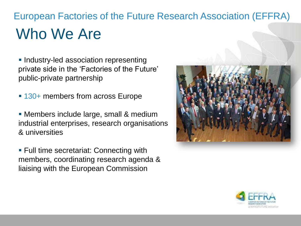## Who We Are European Factories of the Future Research Association (EFFRA)

- **Industry-led association representing** private side in the 'Factories of the Future' public-private partnership
- 130+ members from across Europe
- **Members include large, small & medium** industrial enterprises, research organisations & universities
- **Full time secretariat: Connecting with** members, coordinating research agenda & liaising with the European Commission



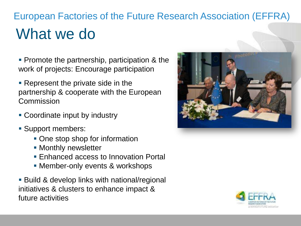## What we do European Factories of the Future Research Association (EFFRA)

- **Promote the partnership, participation & the** work of projects: Encourage participation
- **Represent the private side in the** partnership & cooperate with the European Commission
- Coordinate input by industry
- **Support members:** 
	- One stop shop for information
	- **Monthly newsletter**
	- **Enhanced access to Innovation Portal**
	- **Member-only events & workshops**
- **Build & develop links with national/regional** initiatives & clusters to enhance impact & future activities



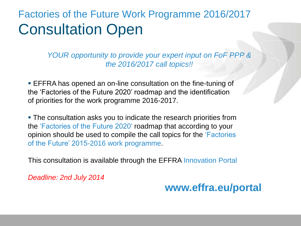### Factories of the Future Work Programme 2016/2017 Consultation Open

*YOUR opportunity to provide your expert input on FoF PPP & the 2016/2017 call topics!!*

 EFFRA has opened an on-line consultation on the fine-tuning of the 'Factories of the Future 2020' roadmap and the identification of priorities for the work programme 2016-2017.

 The consultation asks you to indicate the research priorities from the 'Factories of the Future 2020' roadmap that according to your opinion should be used to compile the call topics for the 'Factories of the Future' 2015-2016 work programme.

This consultation is available through the EFFRA Innovation Portal

*Deadline: 2nd July 2014*

**www.effra.eu/portal**